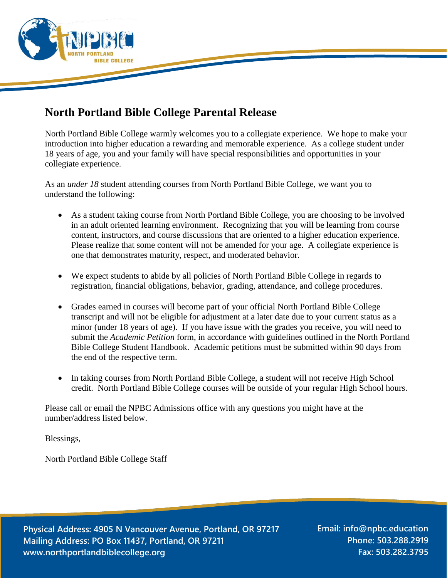

## **North Portland Bible College Parental Release**

North Portland Bible College warmly welcomes you to a collegiate experience. We hope to make your introduction into higher education a rewarding and memorable experience. As a college student under 18 years of age, you and your family will have special responsibilities and opportunities in your collegiate experience.

As an *under 18* student attending courses from North Portland Bible College, we want you to understand the following:

- As a student taking course from North Portland Bible College, you are choosing to be involved in an adult oriented learning environment. Recognizing that you will be learning from course content, instructors, and course discussions that are oriented to a higher education experience. Please realize that some content will not be amended for your age. A collegiate experience is one that demonstrates maturity, respect, and moderated behavior.
- We expect students to abide by all policies of North Portland Bible College in regards to registration, financial obligations, behavior, grading, attendance, and college procedures.
- Grades earned in courses will become part of your official North Portland Bible College transcript and will not be eligible for adjustment at a later date due to your current status as a minor (under 18 years of age). If you have issue with the grades you receive, you will need to submit the *Academic Petition* form, in accordance with guidelines outlined in the North Portland Bible College Student Handbook. Academic petitions must be submitted within 90 days from the end of the respective term.
- In taking courses from North Portland Bible College, a student will not receive High School credit. North Portland Bible College courses will be outside of your regular High School hours.

Please call or email the NPBC Admissions office with any questions you might have at the number/address listed below.

Blessings,

North Portland Bible College Staff

**Physical Address: 4905 N Vancouver Avenue, Portland, OR 97217 Mailing Address: PO Box 11437, Portland, OR 97211 www.northportlandbiblecollege.org**

**Email: info@npbc.education Phone: 503.288.2919 Fax: 503.282.3795**